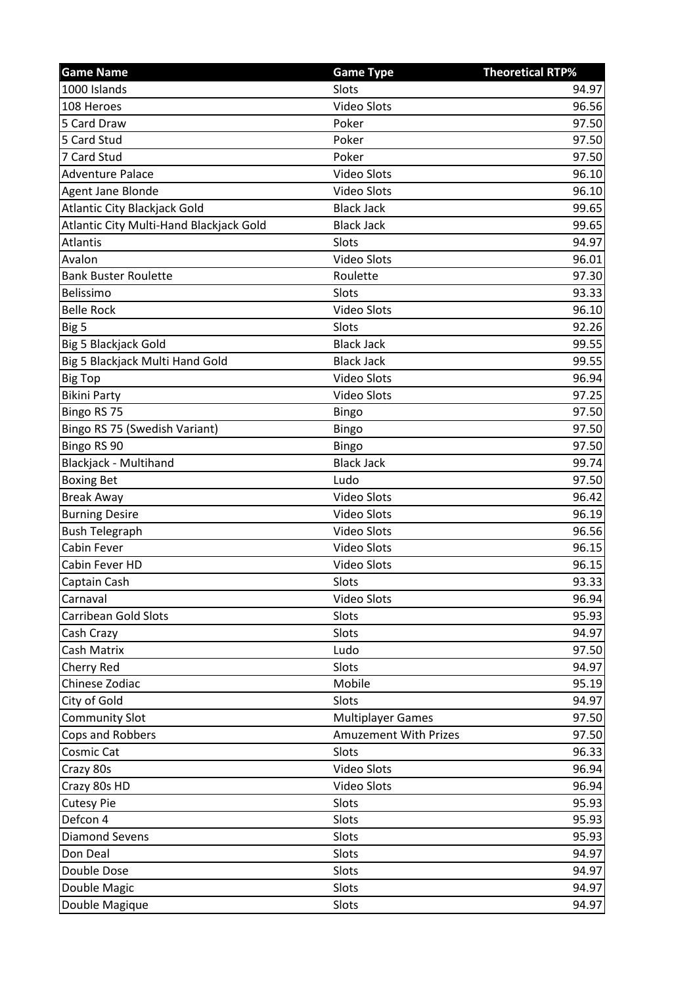| <b>Game Name</b>                        | <b>Game Type</b>             | <b>Theoretical RTP%</b> |
|-----------------------------------------|------------------------------|-------------------------|
| 1000 Islands                            | Slots                        | 94.97                   |
| 108 Heroes                              | <b>Video Slots</b>           | 96.56                   |
| 5 Card Draw                             | Poker                        | 97.50                   |
| 5 Card Stud                             | Poker                        | 97.50                   |
| 7 Card Stud                             | Poker                        | 97.50                   |
| <b>Adventure Palace</b>                 | <b>Video Slots</b>           | 96.10                   |
| Agent Jane Blonde                       | <b>Video Slots</b>           | 96.10                   |
| Atlantic City Blackjack Gold            | <b>Black Jack</b>            | 99.65                   |
| Atlantic City Multi-Hand Blackjack Gold | <b>Black Jack</b>            | 99.65                   |
| <b>Atlantis</b>                         | Slots                        | 94.97                   |
| Avalon                                  | <b>Video Slots</b>           | 96.01                   |
| <b>Bank Buster Roulette</b>             | Roulette                     | 97.30                   |
| Belissimo                               | Slots                        | 93.33                   |
| <b>Belle Rock</b>                       | <b>Video Slots</b>           | 96.10                   |
| Big 5                                   | Slots                        | 92.26                   |
| Big 5 Blackjack Gold                    | <b>Black Jack</b>            | 99.55                   |
| Big 5 Blackjack Multi Hand Gold         | <b>Black Jack</b>            | 99.55                   |
| <b>Big Top</b>                          | <b>Video Slots</b>           | 96.94                   |
| <b>Bikini Party</b>                     | <b>Video Slots</b>           | 97.25                   |
| Bingo RS 75                             | Bingo                        | 97.50                   |
| Bingo RS 75 (Swedish Variant)           | <b>Bingo</b>                 | 97.50                   |
| Bingo RS 90                             | Bingo                        | 97.50                   |
| Blackjack - Multihand                   | <b>Black Jack</b>            | 99.74                   |
| <b>Boxing Bet</b>                       | Ludo                         | 97.50                   |
| <b>Break Away</b>                       | <b>Video Slots</b>           | 96.42                   |
| <b>Burning Desire</b>                   | Video Slots                  | 96.19                   |
| <b>Bush Telegraph</b>                   | <b>Video Slots</b>           | 96.56                   |
| Cabin Fever                             | <b>Video Slots</b>           | 96.15                   |
| Cabin Fever HD                          | <b>Video Slots</b>           | 96.15                   |
| Captain Cash                            | Slots                        | 93.33                   |
| Carnaval                                | Video Slots                  | 96.94                   |
| Carribean Gold Slots                    | Slots                        | 95.93                   |
| Cash Crazy                              | Slots                        | 94.97                   |
| Cash Matrix                             | Ludo                         | 97.50                   |
| Cherry Red                              | Slots                        | 94.97                   |
| Chinese Zodiac                          | Mobile                       | 95.19                   |
| City of Gold                            | Slots                        | 94.97                   |
| <b>Community Slot</b>                   | <b>Multiplayer Games</b>     | 97.50                   |
| Cops and Robbers                        | <b>Amuzement With Prizes</b> | 97.50                   |
| Cosmic Cat                              | Slots                        | 96.33                   |
| Crazy 80s                               | Video Slots                  | 96.94                   |
| Crazy 80s HD                            | <b>Video Slots</b>           | 96.94                   |
| <b>Cutesy Pie</b>                       | Slots                        | 95.93                   |
| Defcon 4                                | Slots                        | 95.93                   |
| <b>Diamond Sevens</b>                   | Slots                        | 95.93                   |
| Don Deal                                | Slots                        | 94.97                   |
| Double Dose                             | Slots                        | 94.97                   |
| Double Magic                            | Slots                        | 94.97                   |
| Double Magique                          | Slots                        | 94.97                   |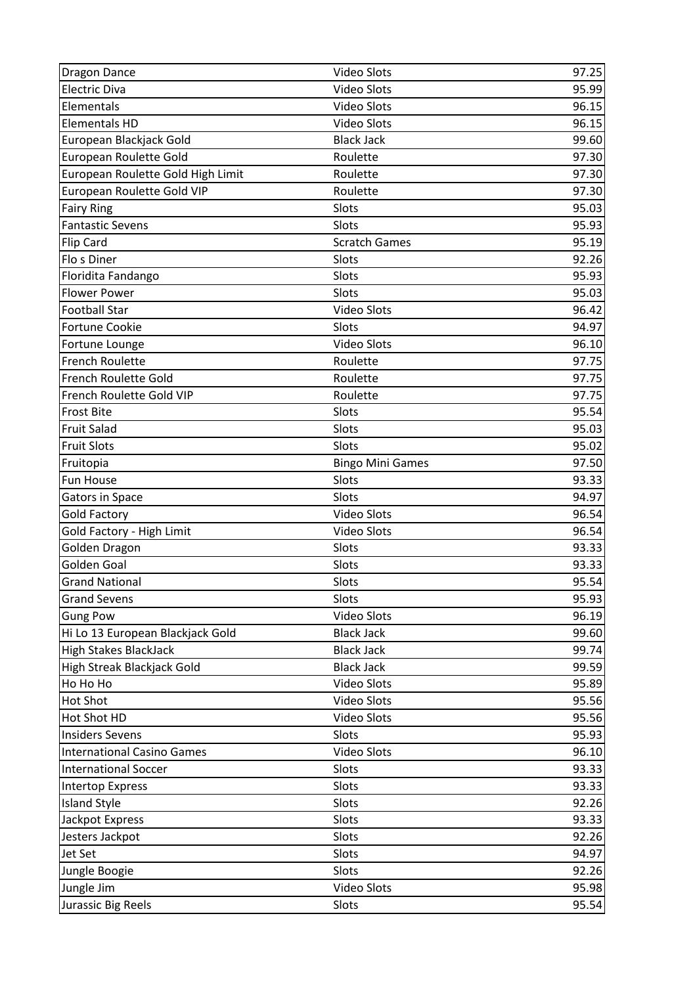| <b>Dragon Dance</b>               | <b>Video Slots</b>      | 97.25          |
|-----------------------------------|-------------------------|----------------|
| <b>Electric Diva</b>              | <b>Video Slots</b>      | 95.99          |
| Elementals                        | <b>Video Slots</b>      | 96.15          |
| <b>Elementals HD</b>              | <b>Video Slots</b>      | 96.15          |
| European Blackjack Gold           | <b>Black Jack</b>       | 99.60          |
| European Roulette Gold            | Roulette                | 97.30          |
| European Roulette Gold High Limit | Roulette                | 97.30          |
| European Roulette Gold VIP        | Roulette                | 97.30          |
| <b>Fairy Ring</b>                 | Slots                   | 95.03          |
| <b>Fantastic Sevens</b>           | Slots                   | 95.93          |
| <b>Flip Card</b>                  | <b>Scratch Games</b>    | 95.19          |
| Flo s Diner                       | Slots                   | 92.26          |
| Floridita Fandango                | Slots                   | 95.93          |
| <b>Flower Power</b>               | Slots                   | 95.03          |
| <b>Football Star</b>              | <b>Video Slots</b>      | 96.42          |
| <b>Fortune Cookie</b>             | Slots                   | 94.97          |
| Fortune Lounge                    | <b>Video Slots</b>      | 96.10          |
| <b>French Roulette</b>            | Roulette                | 97.75          |
| <b>French Roulette Gold</b>       | Roulette                | 97.75          |
| French Roulette Gold VIP          | Roulette                | 97.75          |
| <b>Frost Bite</b>                 | Slots                   | 95.54          |
| <b>Fruit Salad</b>                | Slots                   | 95.03          |
| <b>Fruit Slots</b>                | Slots                   | 95.02          |
| Fruitopia                         | <b>Bingo Mini Games</b> | 97.50          |
| Fun House                         | Slots                   | 93.33          |
| <b>Gators in Space</b>            | Slots                   | 94.97          |
| <b>Gold Factory</b>               | <b>Video Slots</b>      | 96.54          |
| Gold Factory - High Limit         | <b>Video Slots</b>      | 96.54          |
| Golden Dragon                     | Slots                   | 93.33          |
| <b>Golden Goal</b>                | Slots                   | 93.33          |
| <b>Grand National</b>             | Slots                   | 95.54          |
| <b>Grand Sevens</b>               | Slots                   | 95.93          |
| <b>Gung Pow</b>                   | <b>Video Slots</b>      | 96.19          |
| Hi Lo 13 European Blackjack Gold  | <b>Black Jack</b>       | 99.60          |
| <b>High Stakes BlackJack</b>      | <b>Black Jack</b>       | 99.74          |
| High Streak Blackjack Gold        | <b>Black Jack</b>       | 99.59          |
| Ho Ho Ho                          | <b>Video Slots</b>      | 95.89          |
| <b>Hot Shot</b>                   | Video Slots             | 95.56          |
| Hot Shot HD                       | Video Slots             | 95.56          |
| <b>Insiders Sevens</b>            | Slots                   | 95.93          |
| <b>International Casino Games</b> | Video Slots             | 96.10          |
| <b>International Soccer</b>       | Slots                   | 93.33          |
| <b>Intertop Express</b>           | Slots                   | 93.33          |
| <b>Island Style</b>               | Slots                   | 92.26          |
| Jackpot Express                   |                         |                |
|                                   | Slots                   | 93.33          |
| Jesters Jackpot                   | Slots                   | 92.26          |
| Jet Set                           | Slots                   | 94.97          |
| Jungle Boogie                     | Slots                   | 92.26          |
| Jungle Jim<br>Jurassic Big Reels  | Video Slots<br>Slots    | 95.98<br>95.54 |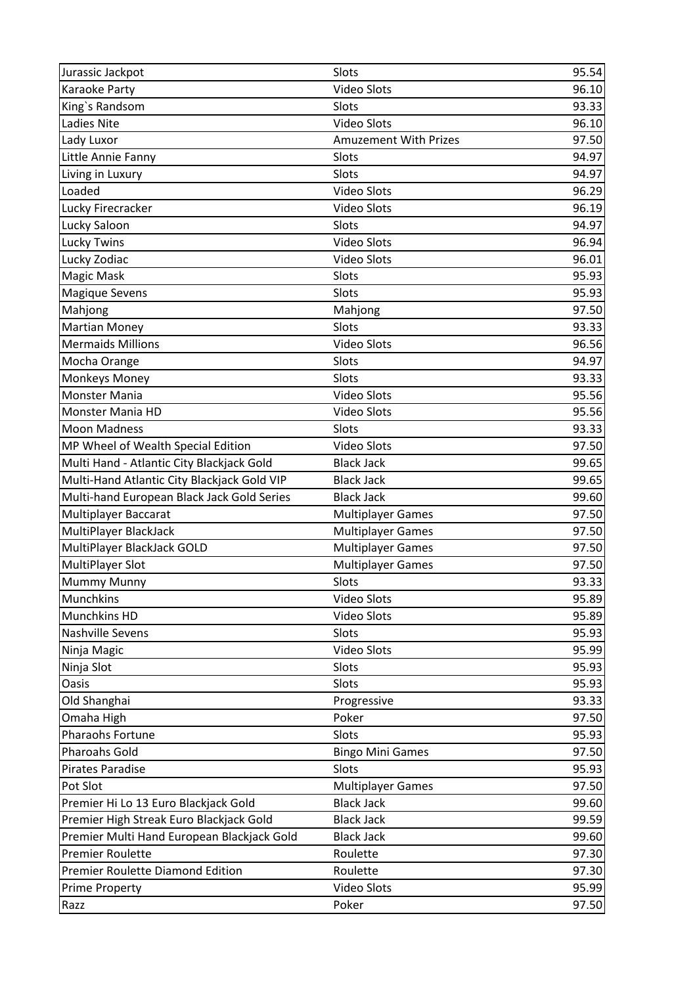| Jurassic Jackpot                                                                                                                        | Slots                        | 95.54 |
|-----------------------------------------------------------------------------------------------------------------------------------------|------------------------------|-------|
| Karaoke Party                                                                                                                           | <b>Video Slots</b>           | 96.10 |
| King's Randsom                                                                                                                          | Slots                        | 93.33 |
| Ladies Nite                                                                                                                             | <b>Video Slots</b>           | 96.10 |
| Lady Luxor                                                                                                                              | <b>Amuzement With Prizes</b> | 97.50 |
| Little Annie Fanny                                                                                                                      | Slots                        | 94.97 |
| Living in Luxury                                                                                                                        | Slots                        | 94.97 |
| Loaded                                                                                                                                  | <b>Video Slots</b>           | 96.29 |
| Lucky Firecracker                                                                                                                       | <b>Video Slots</b>           | 96.19 |
| Lucky Saloon                                                                                                                            | Slots                        | 94.97 |
| <b>Lucky Twins</b>                                                                                                                      | <b>Video Slots</b>           | 96.94 |
| Lucky Zodiac                                                                                                                            | <b>Video Slots</b>           | 96.01 |
| Magic Mask                                                                                                                              | Slots                        | 95.93 |
| <b>Magique Sevens</b>                                                                                                                   | Slots                        | 95.93 |
| Mahjong                                                                                                                                 | Mahjong                      | 97.50 |
|                                                                                                                                         | Slots                        | 93.33 |
| <b>Mermaids Millions</b>                                                                                                                | <b>Video Slots</b>           | 96.56 |
| Mocha Orange                                                                                                                            | Slots                        | 94.97 |
| Monkeys Money                                                                                                                           | Slots                        | 93.33 |
| <b>Monster Mania</b>                                                                                                                    | <b>Video Slots</b>           | 95.56 |
| <b>Monster Mania HD</b>                                                                                                                 | <b>Video Slots</b>           | 95.56 |
| <b>Moon Madness</b>                                                                                                                     | Slots                        | 93.33 |
|                                                                                                                                         | <b>Video Slots</b>           | 97.50 |
|                                                                                                                                         | <b>Black Jack</b>            | 99.65 |
| Multi-Hand Atlantic City Blackjack Gold VIP                                                                                             | <b>Black Jack</b>            | 99.65 |
| Multi-hand European Black Jack Gold Series                                                                                              | <b>Black Jack</b>            | 99.60 |
|                                                                                                                                         |                              | 97.50 |
| MultiPlayer BlackJack                                                                                                                   | <b>Multiplayer Games</b>     | 97.50 |
| MultiPlayer BlackJack GOLD                                                                                                              | <b>Multiplayer Games</b>     | 97.50 |
| MultiPlayer Slot                                                                                                                        | <b>Multiplayer Games</b>     | 97.50 |
| <b>Mummy Munny</b>                                                                                                                      | Slots                        | 93.33 |
| Munchkins                                                                                                                               | Video Slots                  | 95.89 |
| Munchkins HD                                                                                                                            | <b>Video Slots</b>           | 95.89 |
| <b>Nashville Sevens</b>                                                                                                                 | Slots                        | 95.93 |
|                                                                                                                                         | Video Slots                  | 95.99 |
| Ninja Slot                                                                                                                              | Slots                        | 95.93 |
| <b>Oasis</b>                                                                                                                            | Slots                        | 95.93 |
| Old Shanghai                                                                                                                            | Progressive                  | 93.33 |
| Omaha High                                                                                                                              | Poker                        | 97.50 |
| Pharaohs Fortune                                                                                                                        | Slots                        | 95.93 |
| <b>Pharoahs Gold</b>                                                                                                                    | <b>Bingo Mini Games</b>      | 97.50 |
| Pirates Paradise                                                                                                                        | Slots                        | 95.93 |
| Pot Slot                                                                                                                                | <b>Multiplayer Games</b>     | 97.50 |
| Premier Hi Lo 13 Euro Blackjack Gold                                                                                                    | <b>Black Jack</b>            | 99.60 |
| Premier High Streak Euro Blackjack Gold                                                                                                 | <b>Black Jack</b>            | 99.59 |
| Premier Multi Hand European Blackjack Gold                                                                                              | <b>Black Jack</b>            | 99.60 |
| <b>Premier Roulette</b>                                                                                                                 | Roulette                     | 97.30 |
| Premier Roulette Diamond Edition                                                                                                        | Roulette                     | 97.30 |
| <b>Prime Property</b>                                                                                                                   | Video Slots                  | 95.99 |
| Razz                                                                                                                                    | Poker                        | 97.50 |
| Martian Money<br>MP Wheel of Wealth Special Edition<br>Multi Hand - Atlantic City Blackjack Gold<br>Multiplayer Baccarat<br>Ninja Magic | <b>Multiplayer Games</b>     |       |